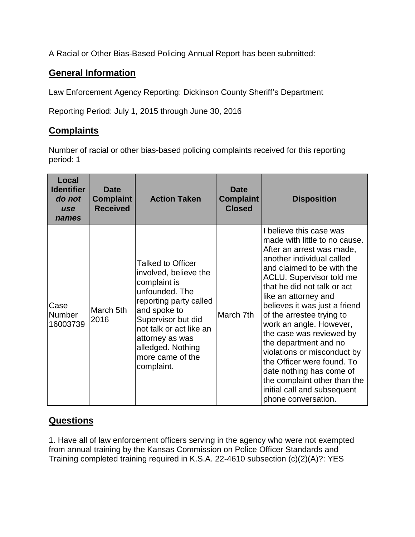A Racial or Other Bias-Based Policing Annual Report has been submitted:

## **General Information**

Law Enforcement Agency Reporting: Dickinson County Sheriff's Department

Reporting Period: July 1, 2015 through June 30, 2016

## **Complaints**

Number of racial or other bias-based policing complaints received for this reporting period: 1

| Local<br><b>Identifier</b><br>do not<br>use<br>names | <b>Date</b><br><b>Complaint</b><br><b>Received</b> | <b>Action Taken</b>                                                                                                                                                                                                                                      | Date<br><b>Complaint</b><br><b>Closed</b> | <b>Disposition</b>                                                                                                                                                                                                                                                                                                                                                                                                                                                                                                                                                      |
|------------------------------------------------------|----------------------------------------------------|----------------------------------------------------------------------------------------------------------------------------------------------------------------------------------------------------------------------------------------------------------|-------------------------------------------|-------------------------------------------------------------------------------------------------------------------------------------------------------------------------------------------------------------------------------------------------------------------------------------------------------------------------------------------------------------------------------------------------------------------------------------------------------------------------------------------------------------------------------------------------------------------------|
| Case<br><b>Number</b><br>16003739                    | March 5th<br>2016                                  | <b>Talked to Officer</b><br>involved, believe the<br>complaint is<br>unfounded. The<br>reporting party called<br>and spoke to<br>Supervisor but did<br>not talk or act like an<br>attorney as was<br>alledged. Nothing<br>more came of the<br>complaint. | March 7th                                 | I believe this case was<br>made with little to no cause.<br>After an arrest was made,<br>another individual called<br>and claimed to be with the<br><b>ACLU.</b> Supervisor told me<br>that he did not talk or act<br>like an attorney and<br>believes it was just a friend<br>of the arrestee trying to<br>work an angle. However,<br>the case was reviewed by<br>the department and no<br>violations or misconduct by<br>the Officer were found. To<br>date nothing has come of<br>the complaint other than the<br>initial call and subsequent<br>phone conversation. |

## **Questions**

1. Have all of law enforcement officers serving in the agency who were not exempted from annual training by the Kansas Commission on Police Officer Standards and Training completed training required in K.S.A. 22-4610 subsection (c)(2)(A)?: YES